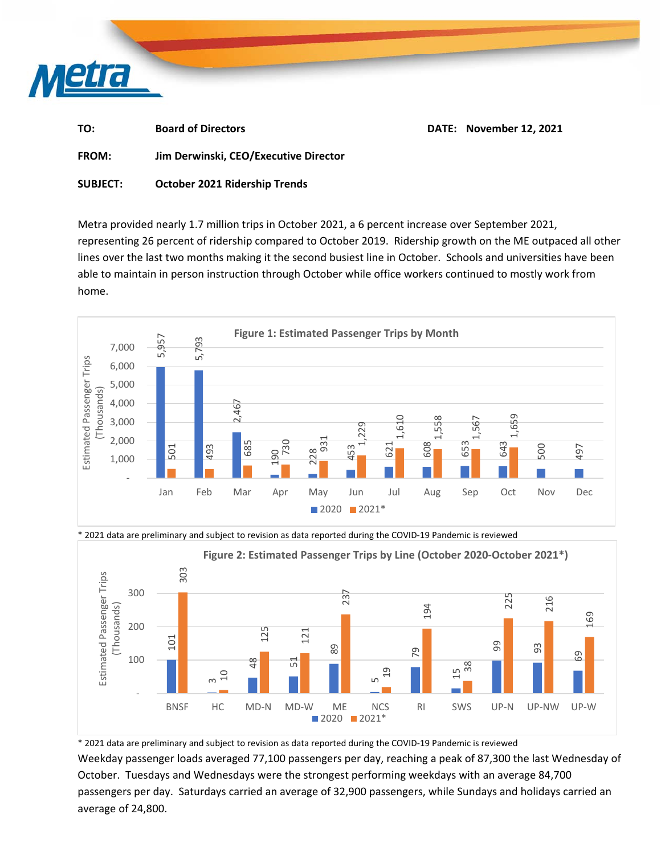

| TO:          | <b>Board of Directors</b>             | DATE: November 12, 2021 |
|--------------|---------------------------------------|-------------------------|
| <b>FROM:</b> | Jim Derwinski, CEO/Executive Director |                         |

**SUBJECT: October 2021 Ridership Trends** 

Metra provided nearly 1.7 million trips in October 2021, a 6 percent increase over September 2021, representing 26 percent of ridership compared to October 2019. Ridership growth on the ME outpaced all other lines over the last two months making it the second busiest line in October. Schools and universities have been able to maintain in person instruction through October while office workers continued to mostly work from home.







\* 2021 data are preliminary and subject to revision as data reported during the COVID‐19 Pandemic is reviewed Weekday passenger loads averaged 77,100 passengers per day, reaching a peak of 87,300 the last Wednesday of October. Tuesdays and Wednesdays were the strongest performing weekdays with an average 84,700 passengers per day. Saturdays carried an average of 32,900 passengers, while Sundays and holidays carried an average of 24,800.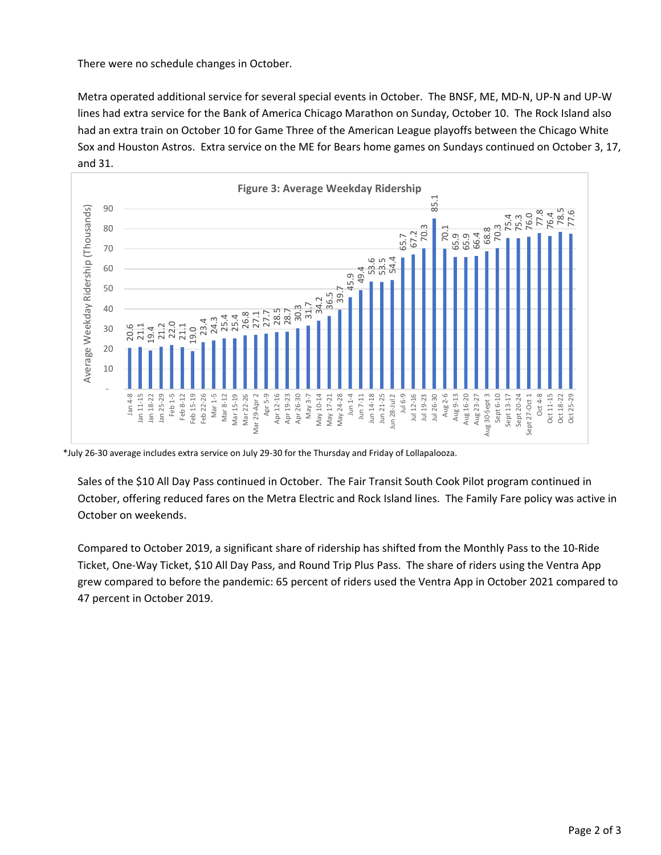There were no schedule changes in October.

Metra operated additional service for several special events in October. The BNSF, ME, MD‐N, UP‐N and UP‐W lines had extra service for the Bank of America Chicago Marathon on Sunday, October 10. The Rock Island also had an extra train on October 10 for Game Three of the American League playoffs between the Chicago White Sox and Houston Astros. Extra service on the ME for Bears home games on Sundays continued on October 3, 17, and 31.



\*July 26‐30 average includes extra service on July 29‐30 for the Thursday and Friday of Lollapalooza.

Sales of the \$10 All Day Pass continued in October. The Fair Transit South Cook Pilot program continued in October, offering reduced fares on the Metra Electric and Rock Island lines. The Family Fare policy was active in October on weekends.

Compared to October 2019, a significant share of ridership has shifted from the Monthly Pass to the 10‐Ride Ticket, One‐Way Ticket, \$10 All Day Pass, and Round Trip Plus Pass. The share of riders using the Ventra App grew compared to before the pandemic: 65 percent of riders used the Ventra App in October 2021 compared to 47 percent in October 2019.